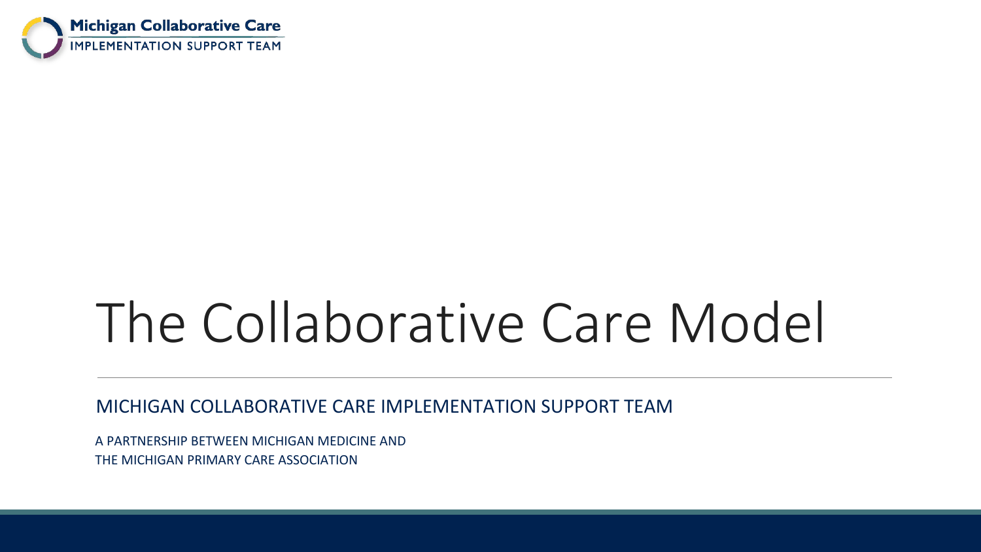

# The Collaborative Care Model

MICHIGAN COLLABORATIVE CARE IMPLEMENTATION SUPPORT TEAM

A PARTNERSHIP BETWEEN MICHIGAN MEDICINE AND THE MICHIGAN PRIMARY CARE ASSOCIATION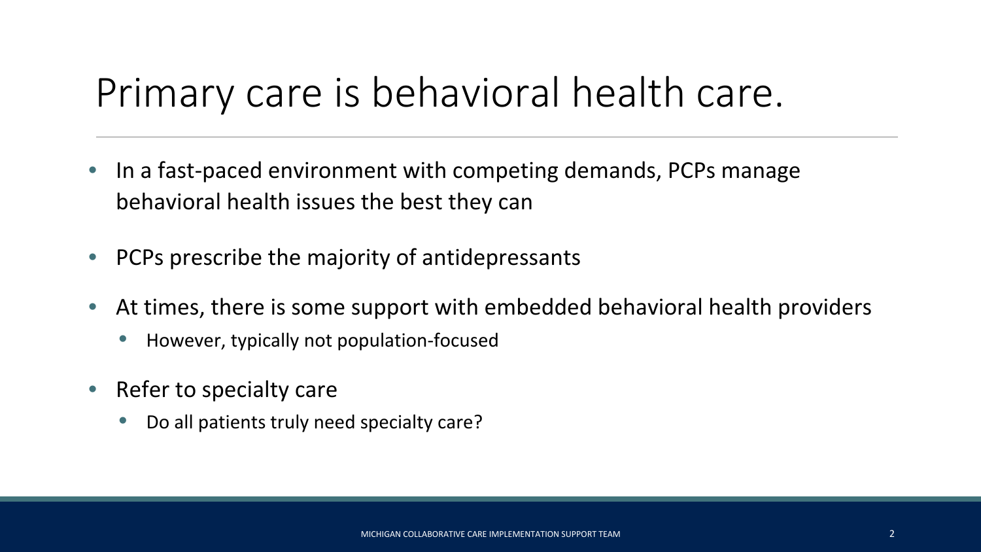### Primary care is behavioral health care.

- In a fast-paced environment with competing demands, PCPs manage behavioral health issues the best they can
- PCPs prescribe the majority of antidepressants
- At times, there is some support with embedded behavioral health providers
	- However, typically not population-focused
- Refer to specialty care
	- Do all patients truly need specialty care?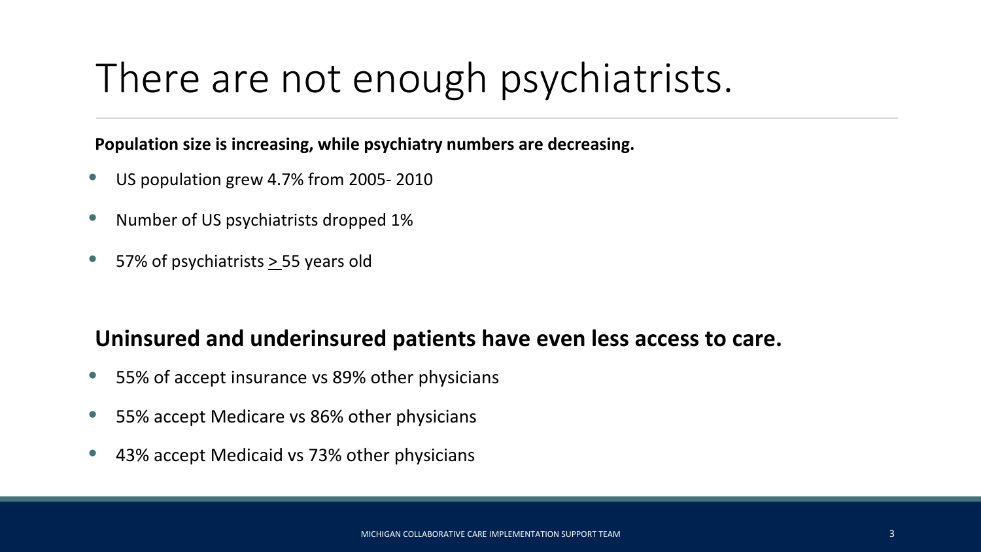## There are not enough psychiatrists.

**Population size is increasing, while psychiatry numbers are decreasing.**

- US population grew 4.7% from 2005- 2010
- Number of US psychiatrists dropped 1%
- 57% of psychiatrists > 55 years old

#### **Uninsured and underinsured patients have even less access to care.**

- 55% of accept insurance vs 89% other physicians
- 55% accept Medicare vs 86% other physicians
- 43% accept Medicaid vs 73% other physicians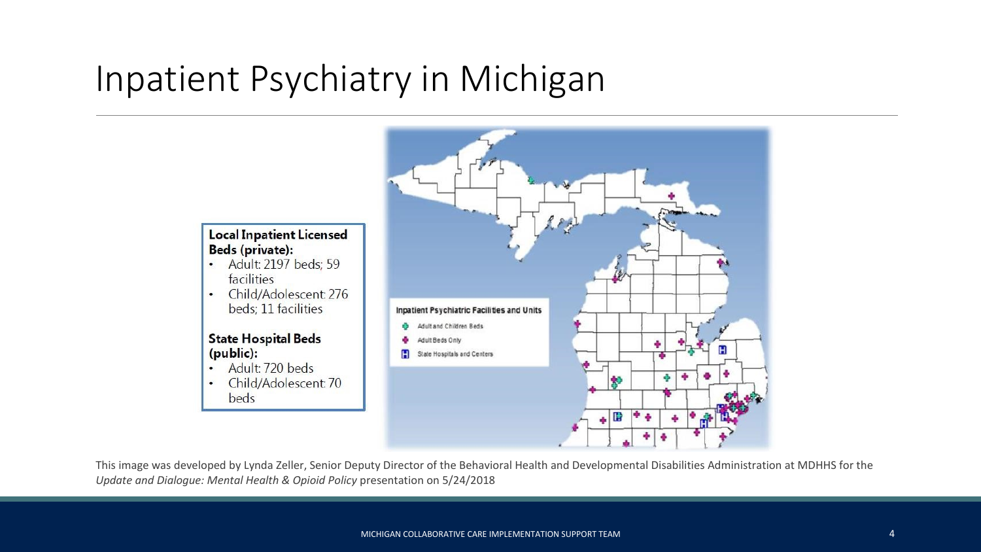### Inpatient Psychiatry in Michigan

 $\bullet$ 



This image was developed by Lynda Zeller, Senior Deputy Director of the Behavioral Health and Developmental Disabilities Administration at MDHHS for the *Update and Dialogue: Mental Health & Opioid Policy* presentation on 5/24/2018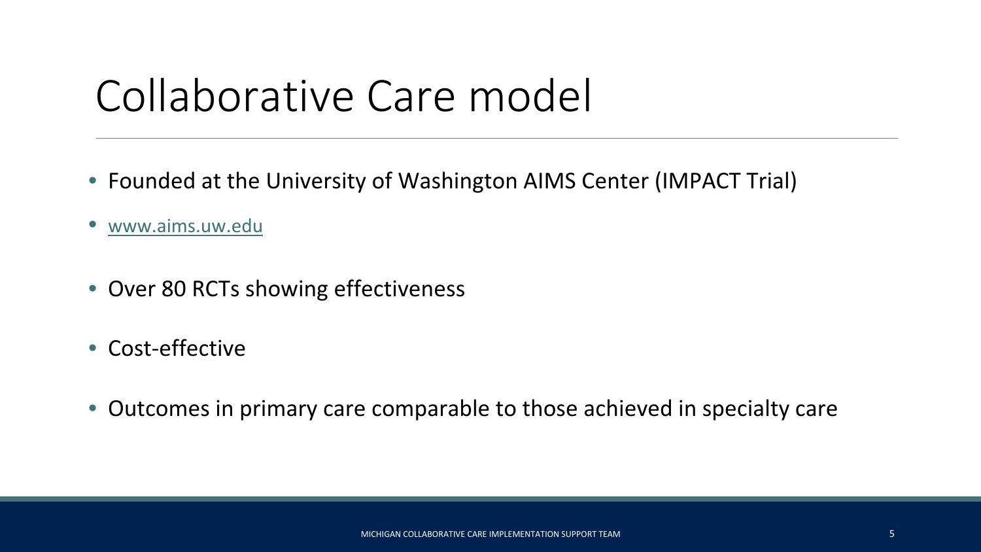# Collaborative Care model

- Founded at the University of Washington AIMS Center (IMPACT Trial)
- [www.aims.uw.edu](http://www.aims.uw.edu/)
- Over 80 RCTs showing effectiveness
- Cost-effective
- Outcomes in primary care comparable to those achieved in specialty care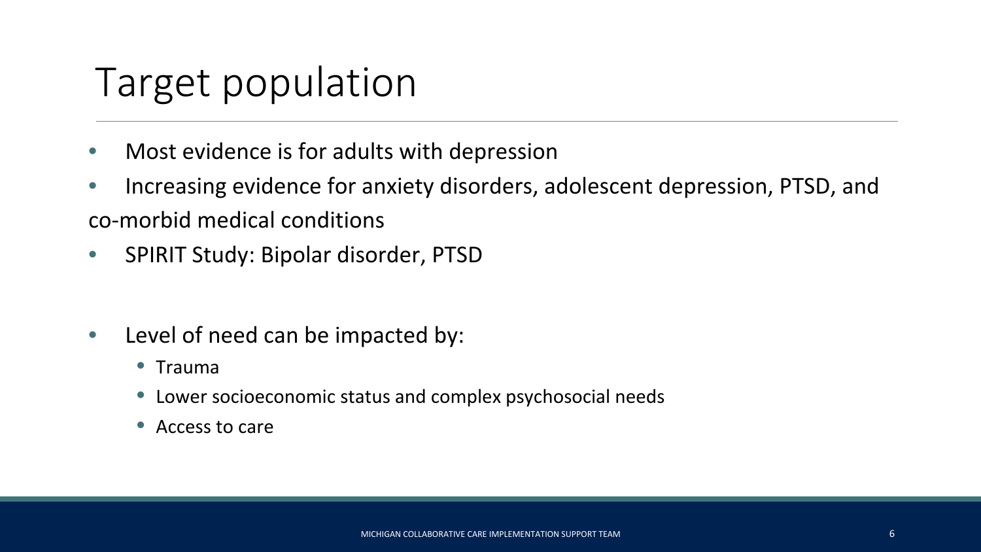### Target population

- Most evidence is for adults with depression
- Increasing evidence for anxiety disorders, adolescent depression, PTSD, and co-morbid medical conditions
- SPIRIT Study: Bipolar disorder, PTSD
- Level of need can be impacted by:
	- Trauma
	- Lower socioeconomic status and complex psychosocial needs
	- Access to care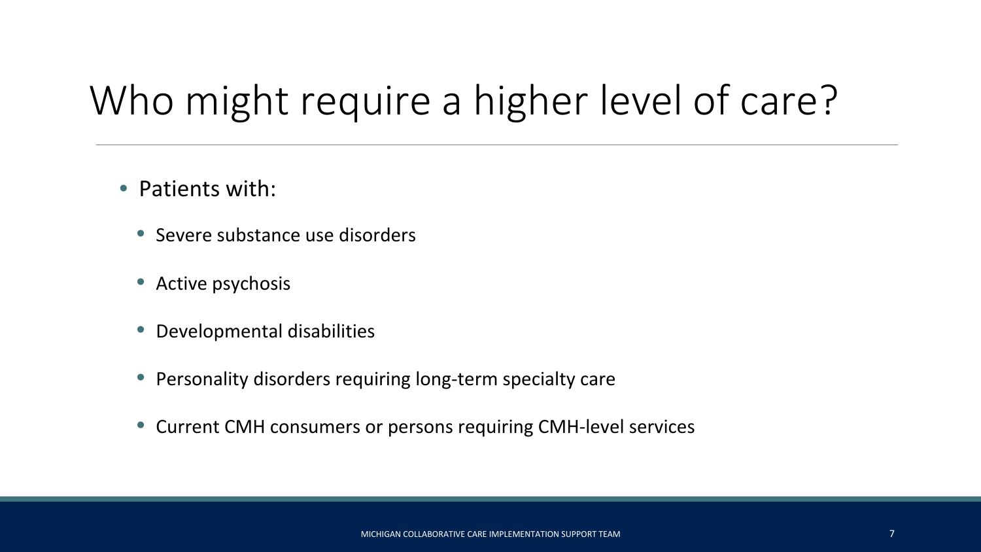# Who might require a higher level of care?

- Patients with:
	- Severe substance use disorders
	- Active psychosis
	- Developmental disabilities
	- Personality disorders requiring long-term specialty care
	- Current CMH consumers or persons requiring CMH-level services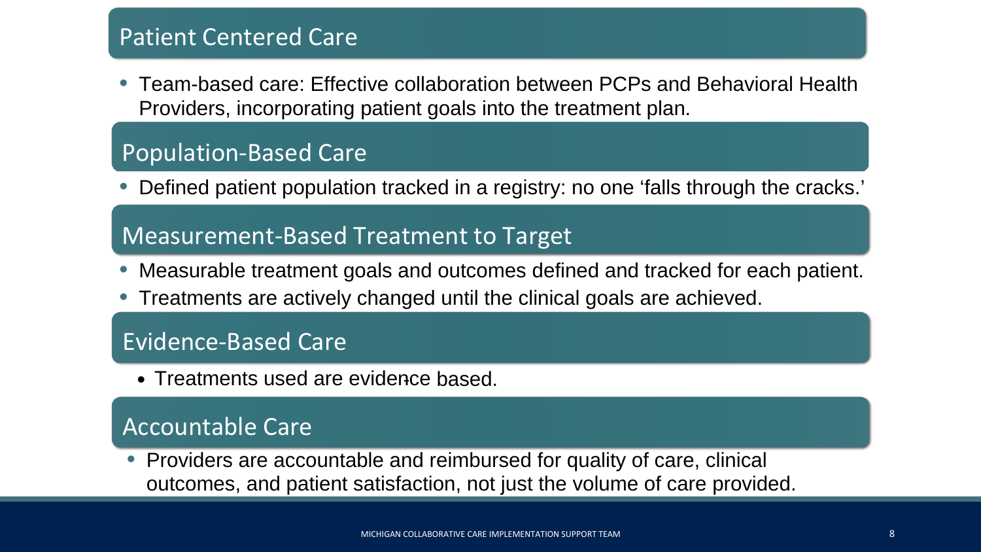#### Patient Centered Care

• Team-based care: Effective collaboration between PCPs and Behavioral Health Providers, incorporating patient goals into the treatment plan.

#### Population-Based Care

• Defined patient population tracked in a registry: no one 'falls through the cracks.'

#### Measurement-Based Treatment to Target

- Measurable treatment goals and outcomes defined and tracked for each patient.
- Treatments are actively changed until the clinical goals are achieved.

#### Evidence-Based Care

• Treatments used are evidence based.

#### Accountable Care

• Providers are accountable and reimbursed for quality of care, clinical outcomes, and patient satisfaction, not just the volume of care provided.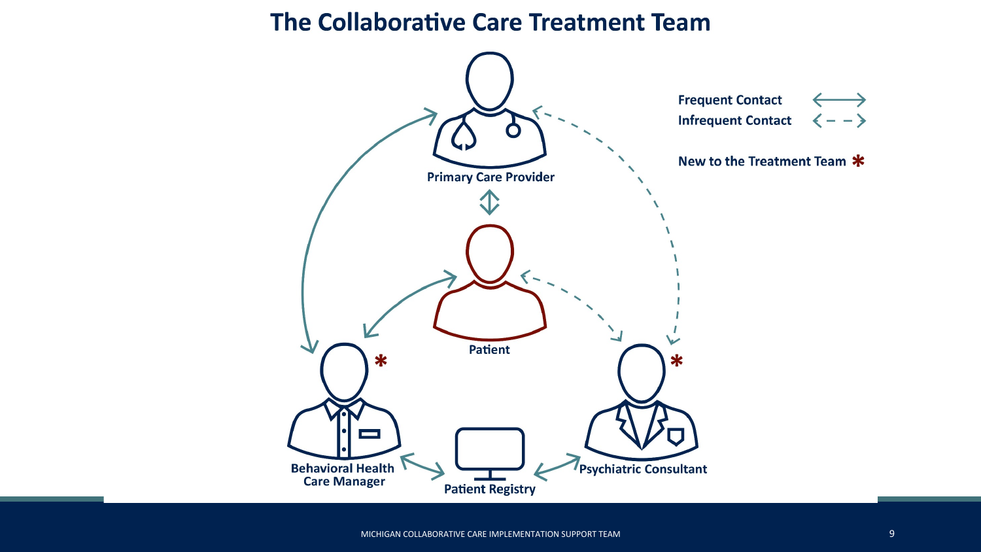#### The Collaborative Care Treatment Team

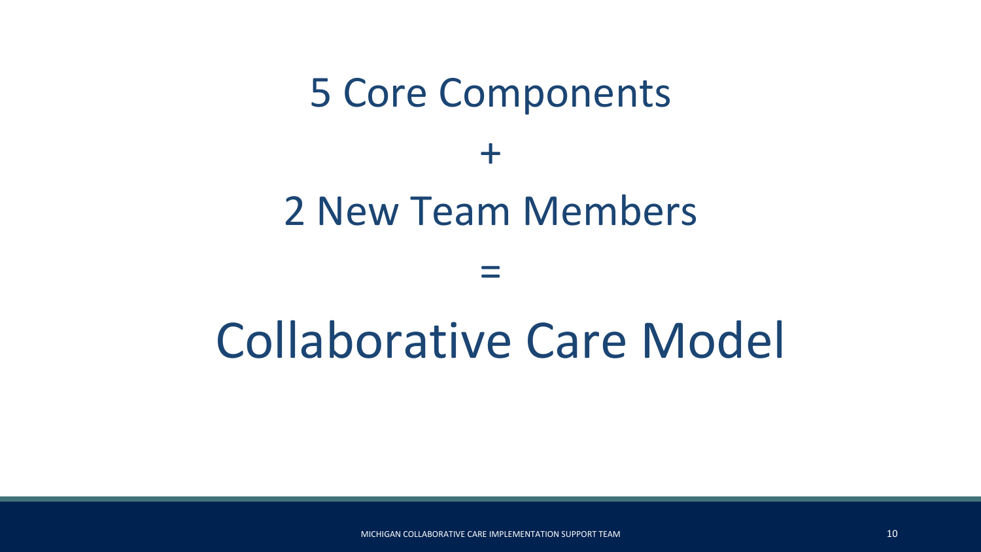# 5 Core Components  $+$ 2 New Team Members

=

# Collaborative Care Model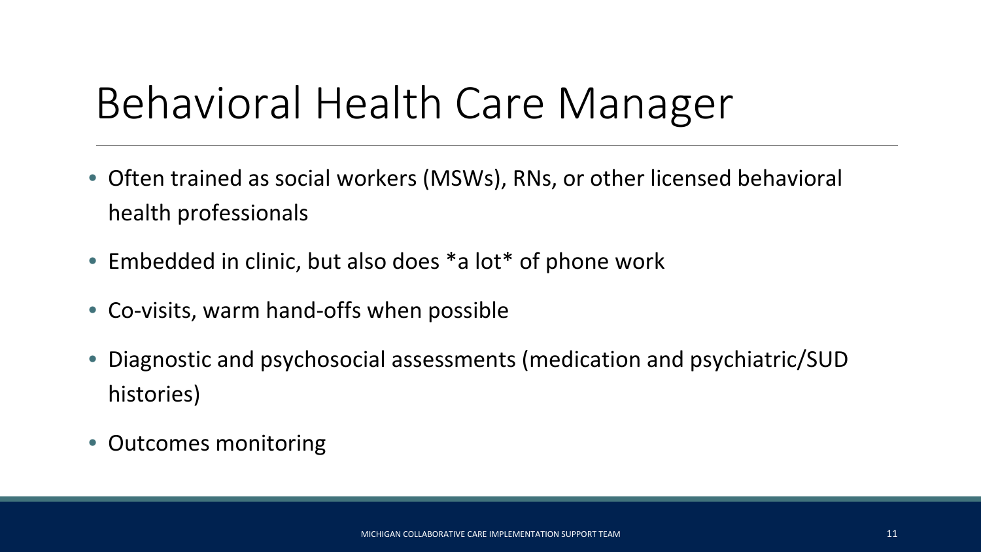# Behavioral Health Care Manager

- Often trained as social workers (MSWs), RNs, or other licensed behavioral health professionals
- Embedded in clinic, but also does \*a lot\* of phone work
- Co-visits, warm hand-offs when possible
- Diagnostic and psychosocial assessments (medication and psychiatric/SUD histories)
- Outcomes monitoring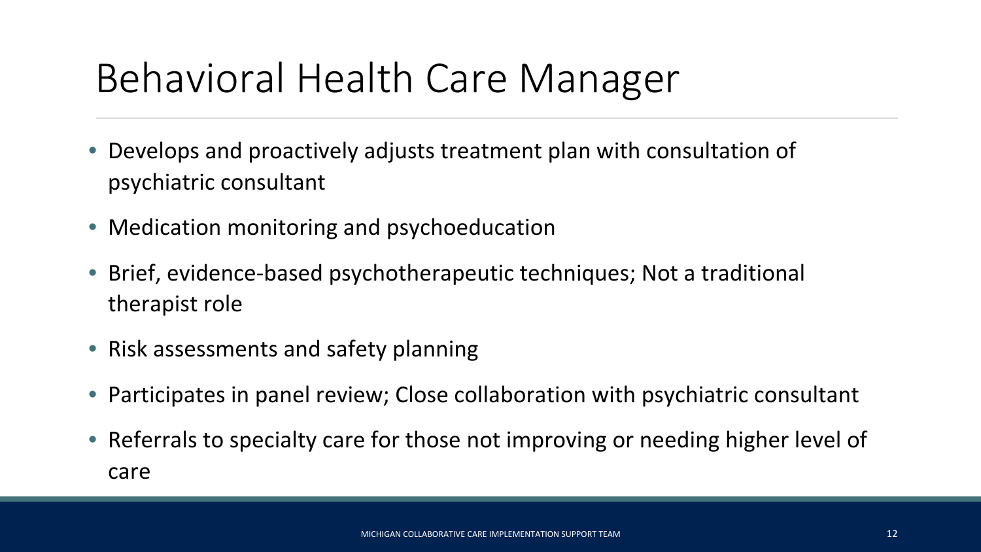## Behavioral Health Care Manager

- Develops and proactively adjusts treatment plan with consultation of psychiatric consultant
- Medication monitoring and psychoeducation
- Brief, evidence-based psychotherapeutic techniques; Not a traditional therapist role
- Risk assessments and safety planning
- Participates in panel review; Close collaboration with psychiatric consultant
- Referrals to specialty care for those not improving or needing higher level of care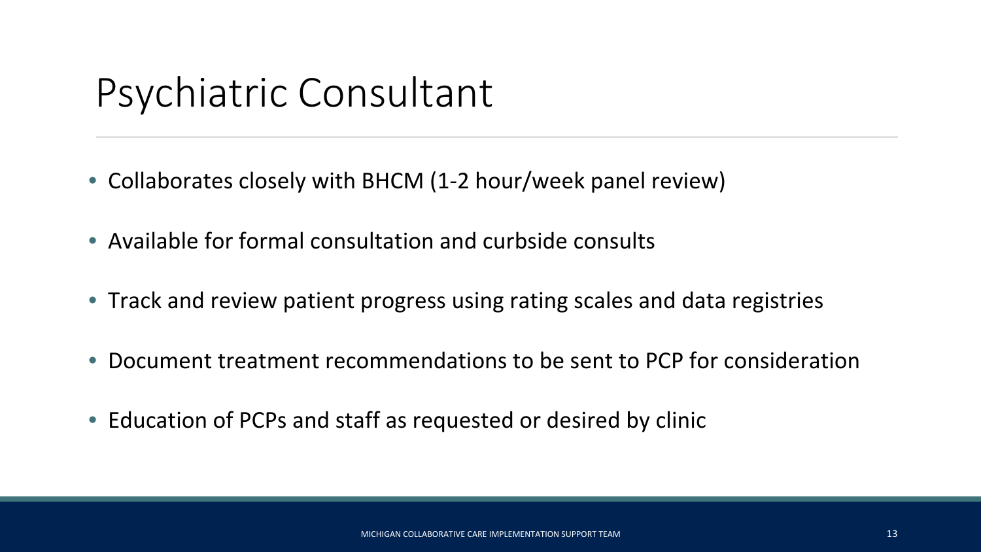### Psychiatric Consultant

- Collaborates closely with BHCM (1-2 hour/week panel review)
- Available for formal consultation and curbside consults
- Track and review patient progress using rating scales and data registries
- Document treatment recommendations to be sent to PCP for consideration
- Education of PCPs and staff as requested or desired by clinic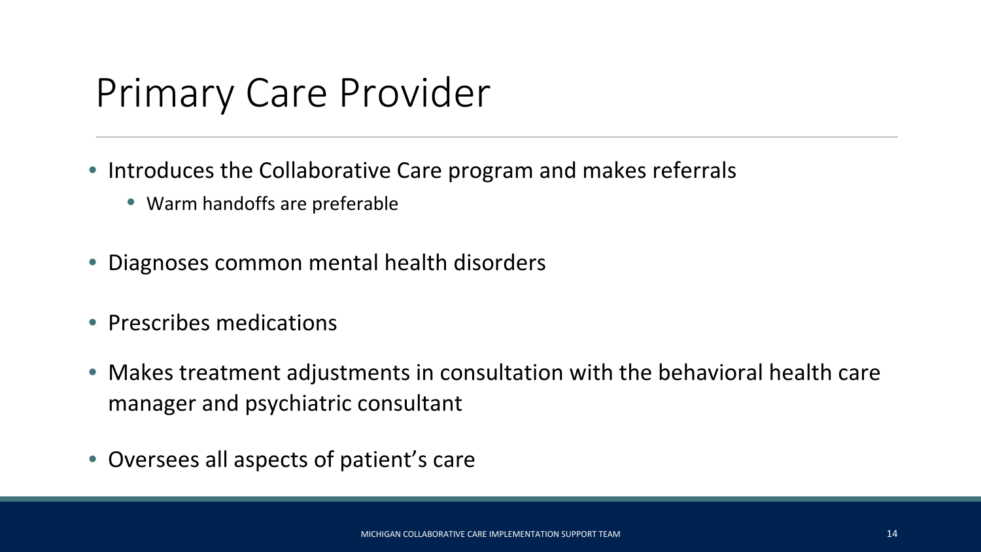### Primary Care Provider

- Introduces the Collaborative Care program and makes referrals
	- Warm handoffs are preferable
- Diagnoses common mental health disorders
- Prescribes medications
- Makes treatment adjustments in consultation with the behavioral health care manager and psychiatric consultant
- Oversees all aspects of patient's care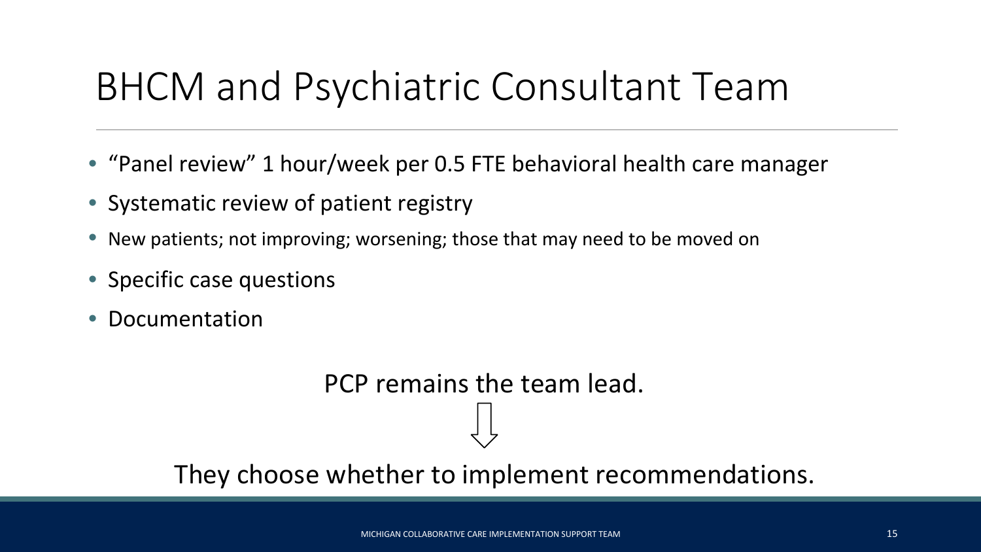### BHCM and Psychiatric Consultant Team

- "Panel review" 1 hour/week per 0.5 FTE behavioral health care manager
- Systematic review of patient registry
- New patients; not improving; worsening; those that may need to be moved on
- Specific case questions
- Documentation

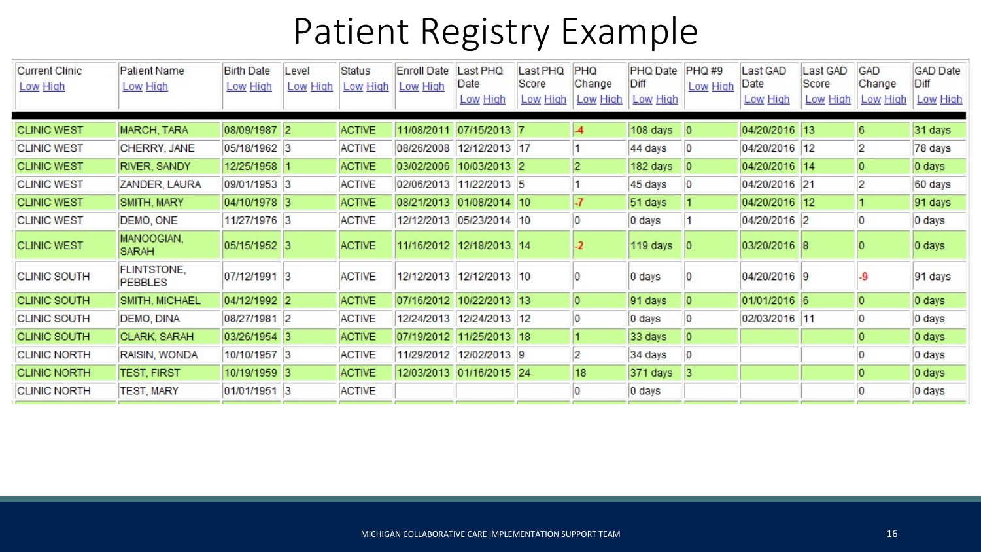### Patient Registry Example

| <b>Current Clinic</b><br>Low High | <b>Patient Name</b><br>Low High      | <b>Birth Date</b><br>Low High | Level<br>Low High | <b>Status</b><br>Low High | <b>Enroll Date</b><br>Low High | Last PHQ<br>Date<br>Low High | Last PHQ<br>Score<br>Low High | <b>PHQ</b><br>Change<br>Low High | PHQ Date<br>Diff<br>Low High | <b>PHQ#9</b><br>Low High | Last GAD<br>Date<br>Low High | Last GAD<br>Score<br>Low High | GAD<br>Change<br>Low High | <b>GAD Date</b><br>Diff<br>Low High |
|-----------------------------------|--------------------------------------|-------------------------------|-------------------|---------------------------|--------------------------------|------------------------------|-------------------------------|----------------------------------|------------------------------|--------------------------|------------------------------|-------------------------------|---------------------------|-------------------------------------|
|                                   |                                      |                               |                   |                           |                                |                              |                               |                                  |                              |                          |                              |                               |                           |                                     |
| <b>CLINIC WEST</b>                | <b>MARCH, TARA</b>                   | 08/09/1987 2                  |                   | <b>ACTIVE</b>             |                                | 11/08/2011 07/15/2013 7      |                               | $\overline{A}$                   | 108 days                     | 0                        | 04/20/2016 13                |                               | $6\overline{6}$           | 31 days                             |
| <b>CLINIC WEST</b>                | CHERRY, JANE                         | 05/18/1962 3                  |                   | <b>ACTIVE</b>             |                                | 08/26/2008 12/12/2013 17     |                               | $\blacksquare$                   | 44 days                      | 0                        | 04/20/2016 12                |                               | $\overline{2}$            | 78 days                             |
| <b>CLINIC WEST</b>                | RIVER, SANDY                         | 12/25/1958 1                  |                   | <b>ACTIVE</b>             | 03/02/2006 10/03/2013 2        |                              |                               | $\overline{2}$                   | 182 days                     | $\overline{0}$           | 04/20/2016 14                |                               | $\overline{0}$            | 0 days                              |
| <b>CLINIC WEST</b>                | ZANDER, LAURA                        | 09/01/1953 3                  |                   | <b>ACTIVE</b>             |                                | 02/06/2013 11/22/2013 5      |                               | 1                                | 45 days                      | $\overline{0}$           | 04/20/2016 21                |                               | $\overline{2}$            | 60 days                             |
| <b>CLINIC WEST</b>                | SMITH, MARY                          | 04/10/1978 3                  |                   | <b>ACTIVE</b>             | 08/21/2013 01/08/2014 10       |                              |                               | $\overline{\mathbf{r}}$          | 51 days                      |                          | 04/20/2016 12                |                               | $\vert$ 1                 | 91 days                             |
| <b>CLINIC WEST</b>                | DEMO, ONE                            | 11/27/1976 3                  |                   | <b>ACTIVE</b>             |                                | 12/12/2013 05/23/2014 10     |                               | $\overline{0}$                   | 0 days                       |                          | 04/20/2016 2                 |                               | $\overline{0}$            | 0 days                              |
| <b>CLINIC WEST</b>                | MANOOGIAN,<br>SARAH                  | 05/15/1952 3                  |                   | <b>ACTIVE</b>             |                                | 11/16/2012 12/18/2013 14     |                               | $-2$                             | 119 days                     | 10                       | 03/20/2016 8                 |                               |                           | 0 days                              |
| <b>CLINIC SOUTH</b>               | <b>FLINTSTONE,</b><br><b>PEBBLES</b> | 07/12/1991 3                  |                   | <b>ACTIVE</b>             | 12/12/2013                     | 12/12/2013 10                |                               | 10                               | 0 days                       |                          | 04/20/2016 9                 |                               | -9                        | 91 days                             |
| <b>CLINIC SOUTH</b>               | SMITH, MICHAEL                       | 04/12/1992 2                  |                   | <b>ACTIVE</b>             | 07/16/2012 10/22/2013 13       |                              |                               | $\overline{0}$                   | 91 days                      | $\overline{0}$           | 01/01/2016 6                 |                               | $\overline{0}$            | 0 days                              |
| <b>CLINIC SOUTH</b>               | DEMO, DINA                           | 08/27/1981 2                  |                   | <b>ACTIVE</b>             |                                | 12/24/2013 12/24/2013 12     |                               | 0                                | 0 days                       | $\overline{0}$           | 02/03/2016 11                |                               | $\overline{0}$            | 0 days                              |
| <b>CLINIC SOUTH</b>               | CLARK, SARAH                         | 03/26/1954 3                  |                   | <b>ACTIVE</b>             | 07/19/2012 11/25/2013 18       |                              |                               | $\vert$ 1                        | 33 days                      | $\overline{0}$           |                              |                               | $\overline{0}$            | 0 days                              |
| <b>CLINIC NORTH</b>               | RAISIN, WONDA                        | 10/10/1957 3                  |                   | <b>ACTIVE</b>             |                                | 11/29/2012 12/02/2013 9      |                               | $\overline{2}$                   | 34 days                      | $\overline{0}$           |                              |                               | 0                         | 0 days                              |
| <b>CLINIC NORTH</b>               | <b>TEST, FIRST</b>                   | 10/19/1959 3                  |                   | <b>ACTIVE</b>             |                                | 12/03/2013 01/16/2015 24     |                               | 18                               | 371 days                     | 3                        |                              |                               | $\overline{0}$            | 0 days                              |
| <b>CLINIC NORTH</b>               | <b>TEST, MARY</b>                    | 01/01/1951 3                  |                   | <b>ACTIVE</b>             |                                |                              |                               | 0                                | 0 days                       |                          |                              |                               | 0                         | 0 days                              |
|                                   |                                      |                               |                   |                           |                                |                              |                               |                                  |                              |                          |                              |                               |                           |                                     |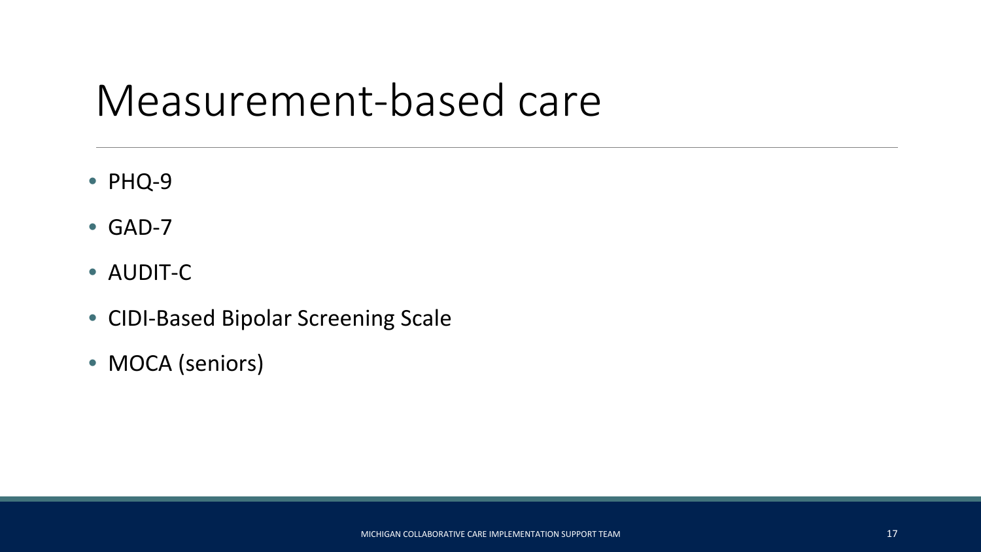### Measurement-based care

- PHQ-9
- GAD-7
- AUDIT-C
- CIDI-Based Bipolar Screening Scale
- MOCA (seniors)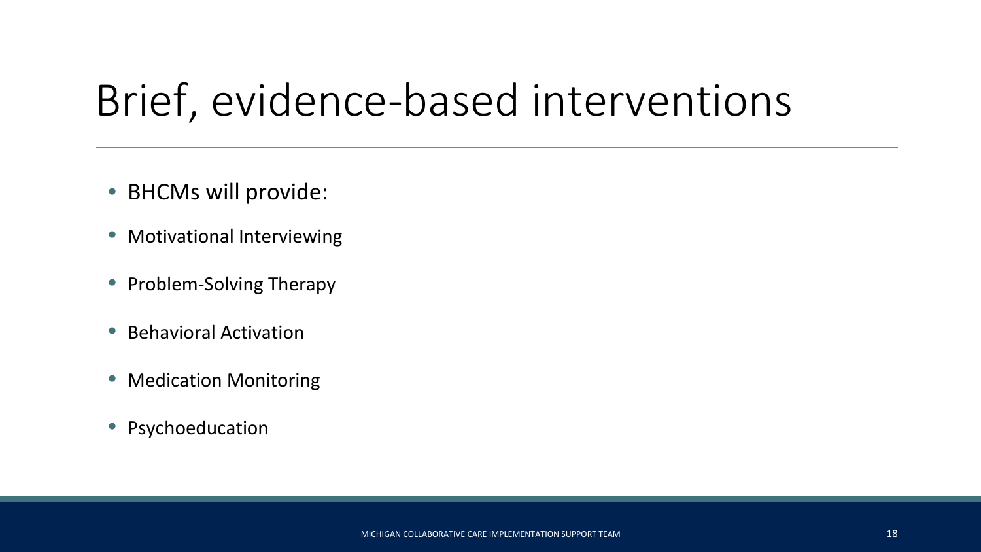# Brief, evidence-based interventions

- BHCMs will provide:
- Motivational Interviewing
- Problem-Solving Therapy
- Behavioral Activation
- Medication Monitoring
- Psychoeducation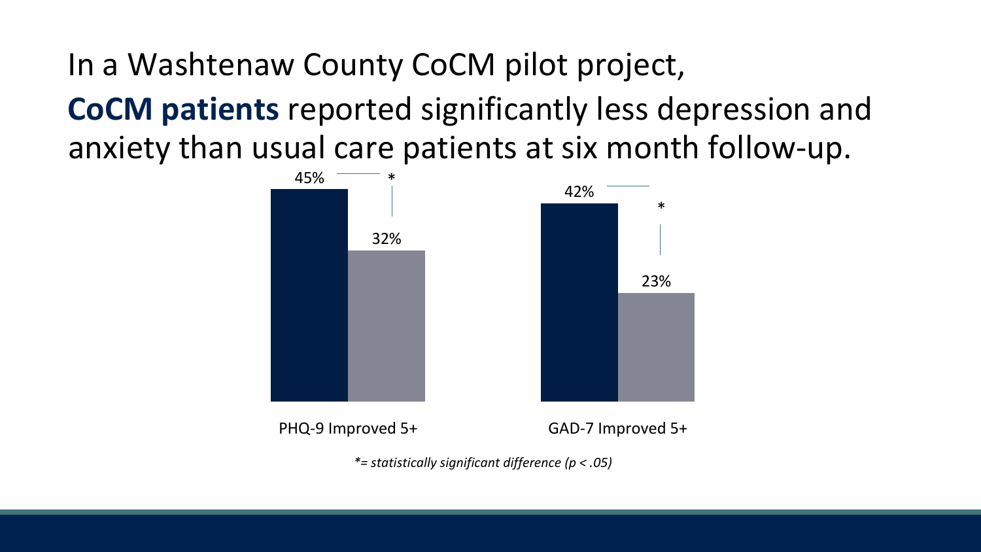In a Washtenaw County CoCM pilot project,

**CoCM patients** reported significantly less depression and anxiety than usual care patients at six month follow-up.



*\*= statistically significant difference (p < .05)*